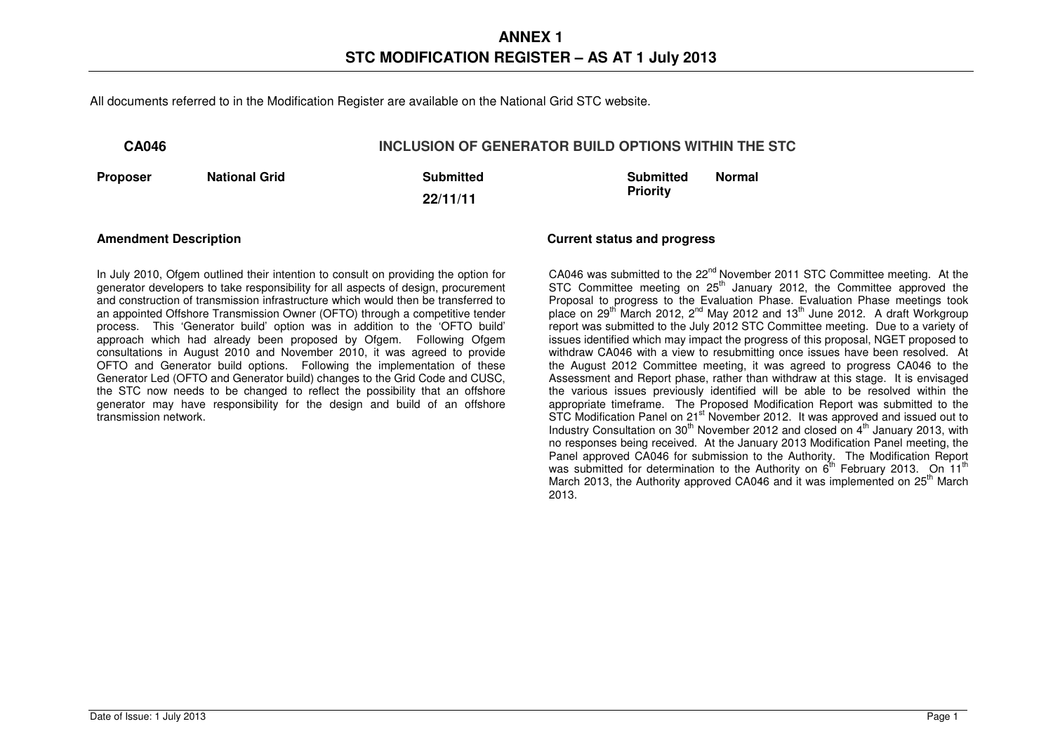All documents referred to in the Modification Register are available on the National Grid STC website.

## **CA046 INCLUSION OF GENERATOR BUILD OPTIONS WITHIN THE STC**

**Proposer Mational Grid Communities Avenue Avenue Avenue Avenue Avenue Avenue Avenue Avenue Avenue Avenue Avenue** 

**22/11/11** 

**Submitted Priority Normal** 

**Amendment Description Current status and progress** 

In July 2010, Ofgem outlined their intention to consult on providing the option for generator developers to take responsibility for all aspects of design, procurement and construction of transmission infrastructure which would then be transferred to an appointed Offshore Transmission Owner (OFTO) through a competitive tender process. This 'Generator build' option was in addition to the 'OFTO build' approach which had already been proposed by Ofgem. Following Ofgem consultations in August 2010 and November 2010, it was agreed to provide OFTO and Generator build options. Following the implementation of these Generator Led (OFTO and Generator build) changes to the Grid Code and CUSC, the STC now needs to be changed to reflect the possibility that an offshore generator may have responsibility for the design and build of an offshore transmission network.

CA046 was submitted to the 22<sup>nd</sup> November 2011 STC Committee meeting. At the STC Committee meeting on  $25<sup>th</sup>$  January 2012, the Committee approved the Proposal to progress to the Evaluation Phase. Evaluation Phase meetings took place on 29<sup>th</sup> March 2012, 2<sup>nd</sup> May 2012 and 13<sup>th</sup> June 2012. A draft Workgroup report was submitted to the July 2012 STC Committee meeting. Due to a variety of issues identified which may impact the progress of this proposal, NGET proposed to withdraw CA046 with a view to resubmitting once issues have been resolved. At the August 2012 Committee meeting, it was agreed to progress CA046 to the Assessment and Report phase, rather than withdraw at this stage. It is envisaged the various issues previously identified will be able to be resolved within the appropriate timeframe. The Proposed Modification Report was submitted to the STC Modification Panel on 21<sup>st</sup> November 2012. It was approved and issued out to Industry Consultation on 30<sup>th</sup> November 2012 and closed on  $4<sup>th</sup>$  January 2013, with no responses being received. At the January 2013 Modification Panel meeting, the Panel approved CA046 for submission to the Authority. The Modification Report was submitted for determination to the Authority on  $6^{th}$  February 2013. On 11<sup>th</sup> March 2013, the Authority approved CA046 and it was implemented on 25<sup>th</sup> March 2013.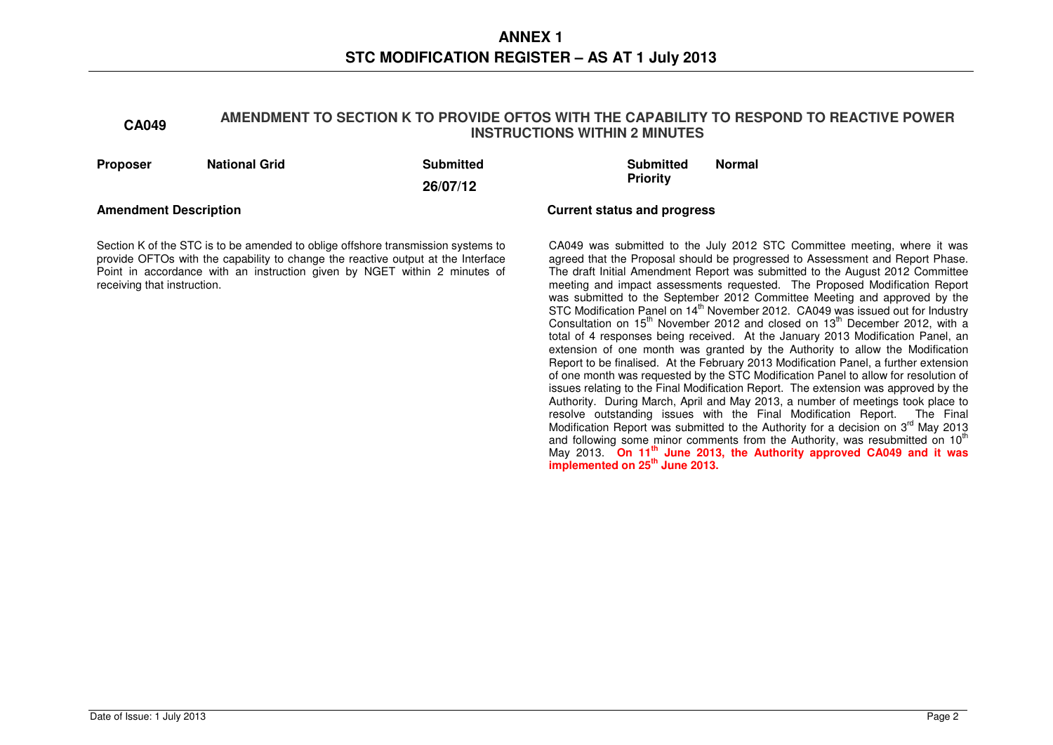# **CA049 AMENDMENT TO SECTION K TO PROVIDE OFTOS WITH THE CAPABILITY TO RESPOND TO REACTIVE POWER**

resolve outstanding issues with the Final Modification Report. The Final Modification Report was submitted to the Authority for a decision on  $3^{\text{rd}}$  May 2013 and following some minor comments from the Authority, was resubmitted on 10<sup>th</sup> May 2013. **On 11th June 2013, the Authority approved CA049 and it was implemented on 25th June 2013.** 

| <b>Proposer</b>              | <b>National Grid</b>                                                                                                                                                                                                                              | <b>Submitted</b><br>26/07/12 | <b>Submitted</b><br><b>Priority</b> | <b>Normal</b>                                                                                                                                                                                                                                                                                                                                                                                                                                                                                                                                                                                                                                                                                                                                                                                                                                                                                                                                                                                                                                                                                                              |
|------------------------------|---------------------------------------------------------------------------------------------------------------------------------------------------------------------------------------------------------------------------------------------------|------------------------------|-------------------------------------|----------------------------------------------------------------------------------------------------------------------------------------------------------------------------------------------------------------------------------------------------------------------------------------------------------------------------------------------------------------------------------------------------------------------------------------------------------------------------------------------------------------------------------------------------------------------------------------------------------------------------------------------------------------------------------------------------------------------------------------------------------------------------------------------------------------------------------------------------------------------------------------------------------------------------------------------------------------------------------------------------------------------------------------------------------------------------------------------------------------------------|
| <b>Amendment Description</b> |                                                                                                                                                                                                                                                   |                              | <b>Current status and progress</b>  |                                                                                                                                                                                                                                                                                                                                                                                                                                                                                                                                                                                                                                                                                                                                                                                                                                                                                                                                                                                                                                                                                                                            |
| receiving that instruction.  | Section K of the STC is to be amended to oblige offshore transmission systems to<br>provide OFTOs with the capability to change the reactive output at the Interface<br>Point in accordance with an instruction given by NGET within 2 minutes of |                              |                                     | CA049 was submitted to the July 2012 STC Committee meeting, where it was<br>agreed that the Proposal should be progressed to Assessment and Report Phase.<br>The draft Initial Amendment Report was submitted to the August 2012 Committee<br>meeting and impact assessments requested. The Proposed Modification Report<br>was submitted to the September 2012 Committee Meeting and approved by the<br>STC Modification Panel on 14 <sup>th</sup> November 2012. CA049 was issued out for Industry<br>Consultation on $15^{th}$ November 2012 and closed on $13^{th}$ December 2012, with a<br>total of 4 responses being received. At the January 2013 Modification Panel, an<br>extension of one month was granted by the Authority to allow the Modification<br>Report to be finalised. At the February 2013 Modification Panel, a further extension<br>of one month was requested by the STC Modification Panel to allow for resolution of<br>issues relating to the Final Modification Report. The extension was approved by the<br>Authority. During March, April and May 2013, a number of meetings took place to |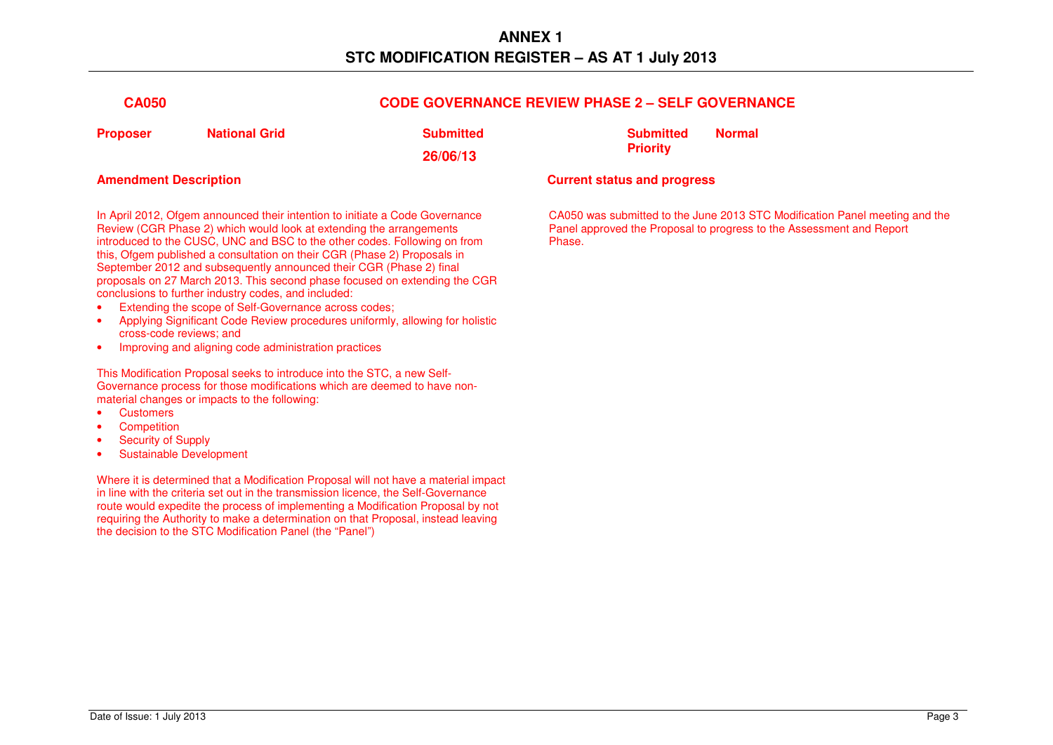| <b>CA050</b> |                      | <b>CODE GOVERNANCE REVIEW PHASE 2 - SELF GOVERNANCE</b> |                  |               |
|--------------|----------------------|---------------------------------------------------------|------------------|---------------|
| Proposer     | <b>National Grid</b> | Submitted                                               | <b>Submitted</b> | <b>Normal</b> |
|              |                      | 26/06/13                                                | <b>Priority</b>  |               |

In April 2012, Ofgem announced their intention to initiate a Code Governance Review (CGR Phase 2) which would look at extending the arrangements introduced to the CUSC, UNC and BSC to the other codes. Following on from this, Ofgem published a consultation on their CGR (Phase 2) Proposals in September 2012 and subsequently announced their CGR (Phase 2) final proposals on 27 March 2013. This second phase focused on extending the CGR conclusions to further industry codes, and included:

- Extending the scope of Self-Governance across codes;
- Applying Significant Code Review procedures uniformly, allowing for holistic cross-code reviews; and
- Improving and aligning code administration practices

This Modification Proposal seeks to introduce into the STC, a new Self-Governance process for those modifications which are deemed to have nonmaterial changes or impacts to the following:

- Customers
- Competition
- Security of Supply
- Sustainable Development

Where it is determined that a Modification Proposal will not have a material impact in line with the criteria set out in the transmission licence, the Self-Governance route would expedite the process of implementing a Modification Proposal by not requiring the Authority to make a determination on that Proposal, instead leaving the decision to the STC Modification Panel (the "Panel")

### **Amendment Description Current status and progress**

CA050 was submitted to the June 2013 STC Modification Panel meeting and the Panel approved the Proposal to progress to the Assessment and Report Phase.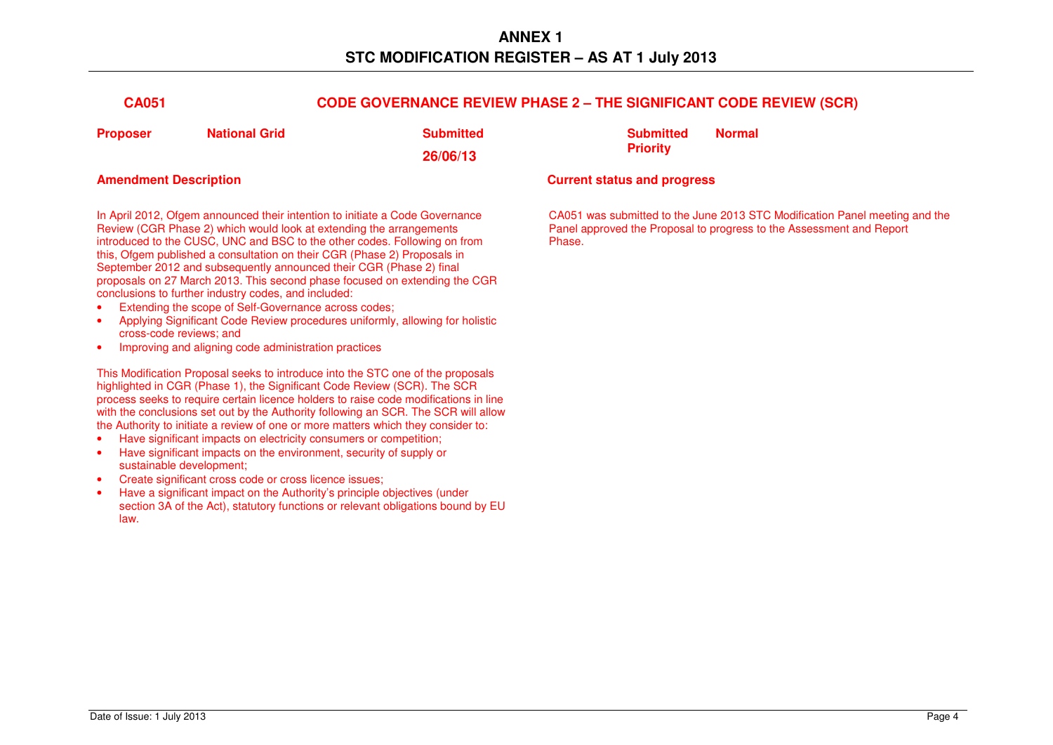| <b>CA051</b> |                      | <b>CODE GOVERNANCE REVIEW PHASE 2 - THE SIGNIFICANT CODE REVIEW (SCR)</b> |                  |               |
|--------------|----------------------|---------------------------------------------------------------------------|------------------|---------------|
| Proposer     | <b>National Grid</b> | Submitted                                                                 | <b>Submitted</b> | <b>Normal</b> |
|              |                      | 26/06/13                                                                  | <b>Priority</b>  |               |

In April 2012, Ofgem announced their intention to initiate a Code Governance Review (CGR Phase 2) which would look at extending the arrangements introduced to the CUSC, UNC and BSC to the other codes. Following on from this, Ofgem published a consultation on their CGR (Phase 2) Proposals in September 2012 and subsequently announced their CGR (Phase 2) final proposals on 27 March 2013. This second phase focused on extending the CGR conclusions to further industry codes, and included:

- Extending the scope of Self-Governance across codes;
- Applying Significant Code Review procedures uniformly, allowing for holistic cross-code reviews; and
- Improving and aligning code administration practices

This Modification Proposal seeks to introduce into the STC one of the proposals highlighted in CGR (Phase 1), the Significant Code Review (SCR). The SCR process seeks to require certain licence holders to raise code modifications in line with the conclusions set out by the Authority following an SCR. The SCR will allow the Authority to initiate a review of one or more matters which they consider to:

- Have significant impacts on electricity consumers or competition;
- Have significant impacts on the environment, security of supply or sustainable development;
- Create significant cross code or cross licence issues;
- Have a significant impact on the Authority's principle objectives (under section 3A of the Act), statutory functions or relevant obligations bound by EU law.

### **Amendment Description Current status and progress**

CA051 was submitted to the June 2013 STC Modification Panel meeting and the Panel approved the Proposal to progress to the Assessment and Report Phase.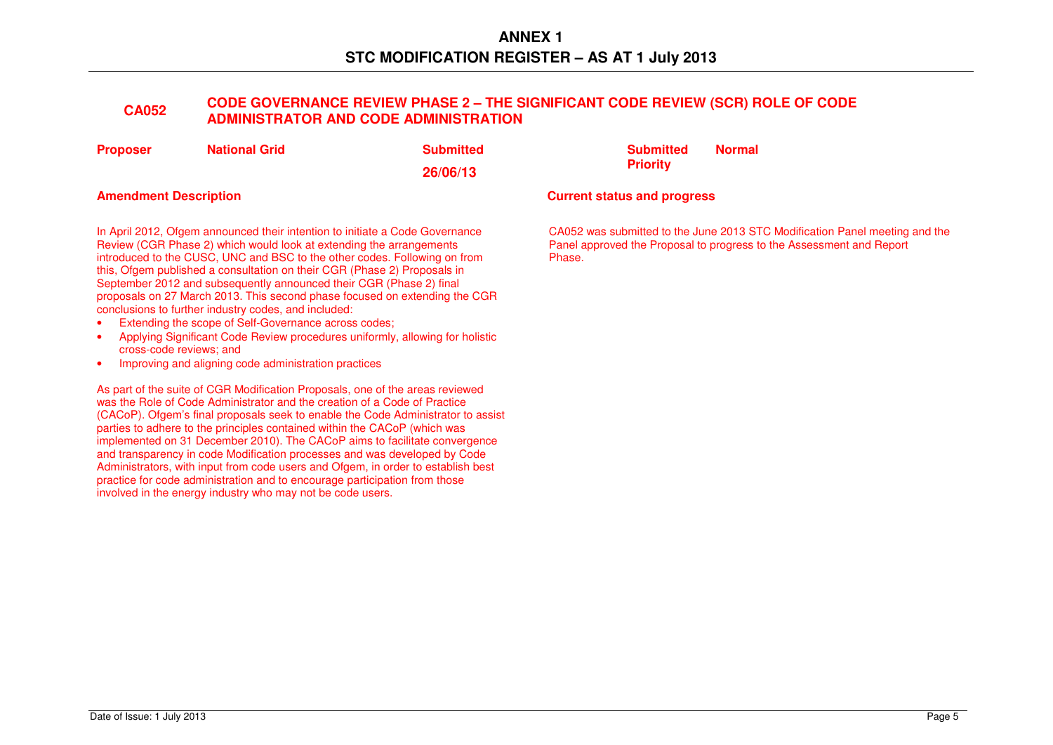# **CA052 CODE GOVERNANCE REVIEW PHASE 2 – THE SIGNIFICANT CODE REVIEW (SCR) ROLE OF CODE ADMINISTRATOR AND CODE ADMINISTRATION**

| <b>Proposer</b> | <b>National Grid</b> |
|-----------------|----------------------|
|                 |                      |

**Submitted** 

**26/06/13** 

In April 2012, Ofgem announced their intention to initiate a Code Governance Review (CGR Phase 2) which would look at extending the arrangements introduced to the CUSC, UNC and BSC to the other codes. Following on from this, Ofgem published a consultation on their CGR (Phase 2) Proposals in September 2012 and subsequently announced their CGR (Phase 2) final proposals on 27 March 2013. This second phase focused on extending the CGR conclusions to further industry codes, and included:

- Extending the scope of Self-Governance across codes;
- Applying Significant Code Review procedures uniformly, allowing for holistic cross-code reviews; and
- Improving and aligning code administration practices

As part of the suite of CGR Modification Proposals, one of the areas reviewed was the Role of Code Administrator and the creation of a Code of Practice (CACoP). Ofgem's final proposals seek to enable the Code Administrator to assist parties to adhere to the principles contained within the CACoP (which was implemented on 31 December 2010). The CACoP aims to facilitate convergence and transparency in code Modification processes and was developed by Code Administrators, with input from code users and Ofgem, in order to establish best practice for code administration and to encourage participation from those involved in the energy industry who may not be code users.

 **Submitted Priority Normal** 

### **Amendment Description Current status and progress**

CA052 was submitted to the June 2013 STC Modification Panel meeting and the Panel approved the Proposal to progress to the Assessment and Report Phase.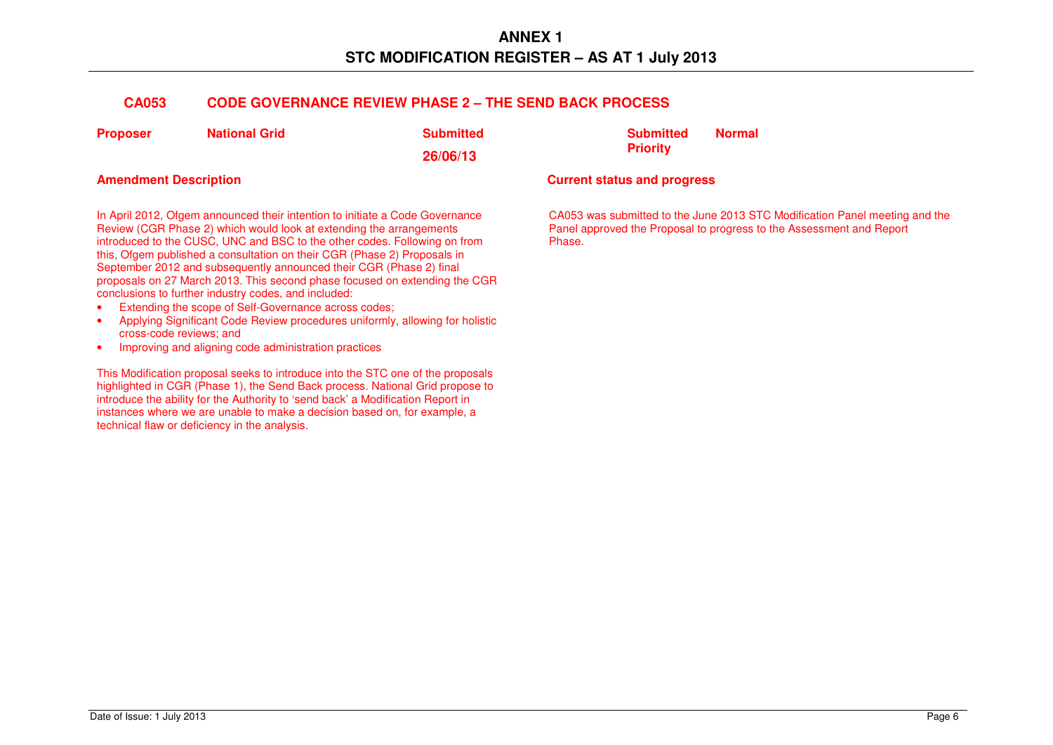# **CA053 CODE GOVERNANCE REVIEW PHASE 2 – THE SEND BACK PROCESS**

| <b>Proposer</b> | <b>National Grid</b> | <b>Submitted</b> |
|-----------------|----------------------|------------------|
|                 |                      | 26/06/13         |

In April 2012, Ofgem announced their intention to initiate a Code Governance Review (CGR Phase 2) which would look at extending the arrangements introduced to the CUSC, UNC and BSC to the other codes. Following on from this, Ofgem published a consultation on their CGR (Phase 2) Proposals in September 2012 and subsequently announced their CGR (Phase 2) final proposals on 27 March 2013. This second phase focused on extending the CGR conclusions to further industry codes, and included:

- Extending the scope of Self-Governance across codes;
- Applying Significant Code Review procedures uniformly, allowing for holistic cross-code reviews; and
- Improving and aligning code administration practices

This Modification proposal seeks to introduce into the STC one of the proposals highlighted in CGR (Phase 1), the Send Back process. National Grid propose to introduce the ability for the Authority to 'send back' a Modification Report in instances where we are unable to make a decision based on, for example, a technical flaw or deficiency in the analysis.

 **Submitted Priority Normal** 

## **Amendment Description Current status and progress**

CA053 was submitted to the June 2013 STC Modification Panel meeting and the Panel approved the Proposal to progress to the Assessment and Report Phase.